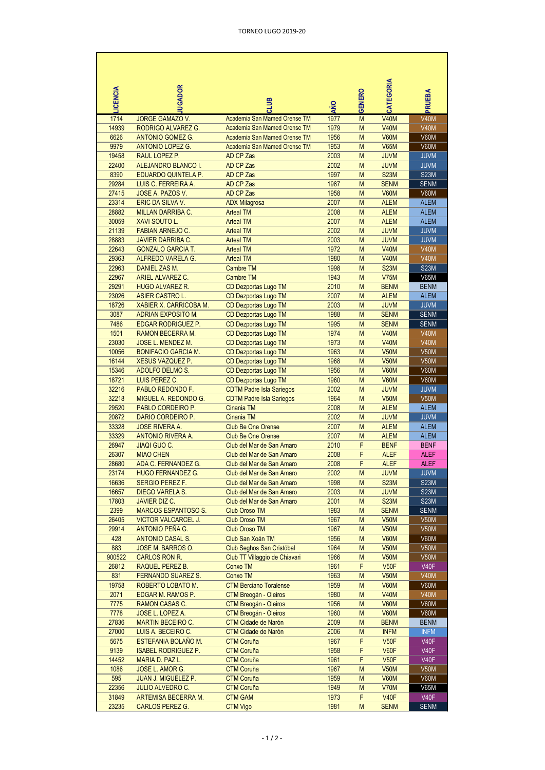| LICENCIA       | <b>UGADOR</b>                                           |                                                                    |              |        | CATEGORIA                        |                            |
|----------------|---------------------------------------------------------|--------------------------------------------------------------------|--------------|--------|----------------------------------|----------------------------|
|                |                                                         | <b>SITIC</b>                                                       | AÑO          | GENERO |                                  | PRUEBA                     |
| 1714           | <b>JORGE GAMAZO V.</b>                                  | Academia San Mamed Orense TM                                       | 1977         | M      | <b>V40M</b>                      | <b>V40M</b>                |
| 14939          | RODRIGO ALVAREZ G.                                      | Academia San Mamed Orense TM                                       | 1979         | M      | <b>V40M</b>                      | <b>V40M</b>                |
| 6626<br>9979   | <b>ANTONIO GOMEZ G.</b><br><b>ANTONIO LOPEZ G.</b>      | Academia San Mamed Orense TM<br>Academia San Mamed Orense TM       | 1956<br>1953 | M<br>M | <b>V60M</b><br><b>V65M</b>       | <b>V60M</b><br>V60M        |
| 19458          | RAUL LOPEZ P.                                           | AD CP Zas                                                          | 2003         | M      | <b>JUVM</b>                      | <b>JUVM</b>                |
| 22400          | ALEJANDRO BLANCO I.                                     | AD CP Zas                                                          | 2002         | M      | <b>JUVM</b>                      | <b>JUVM</b>                |
| 8390           | EDUARDO QUINTELA P.                                     | AD CP Zas                                                          | 1997         | M      | <b>S23M</b>                      | <b>S23M</b>                |
| 29284          | LUIS C. FERREIRA A.                                     | AD CP Zas                                                          | 1987         | M      | <b>SENM</b>                      | <b>SENM</b>                |
| 27415          | JOSE A. PAZOS V.                                        | AD CP Zas                                                          | 1958         | M      | <b>V60M</b>                      | <b>V60M</b>                |
| 23314<br>28882 | ERIC DA SILVA V.                                        | <b>ADX Milagrosa</b>                                               | 2007<br>2008 | M<br>M | <b>ALEM</b><br><b>ALEM</b>       | <b>ALEM</b><br><b>ALEM</b> |
| 30059          | <b>MILLAN DARRIBA C.</b><br>XAVI SOUTO L.               | <b>Arteal TM</b><br><b>Arteal TM</b>                               | 2007         | M      | <b>ALEM</b>                      | <b>ALEM</b>                |
| 21139          | <b>FABIAN ARNEJO C.</b>                                 | <b>Arteal TM</b>                                                   | 2002         | M      | <b>JUVM</b>                      | <b>JUVM</b>                |
| 28883          | <b>JAVIER DARRIBA C.</b>                                | <b>Arteal TM</b>                                                   | 2003         | M      | <b>JUVM</b>                      | <b>JUVM</b>                |
| 22643          | <b>GONZALO GARCIA T.</b>                                | <b>Arteal TM</b>                                                   | 1972         | M      | <b>V40M</b>                      | <b>V40M</b>                |
| 29363          | ALFREDO VARELA G.                                       | <b>Arteal TM</b>                                                   | 1980         | M      | <b>V40M</b>                      | <b>V40M</b>                |
| 22963          | DANIEL ZAS M.                                           | <b>Cambre TM</b>                                                   | 1998         | M      | <b>S23M</b>                      | <b>S23M</b>                |
| 22967          | <b>ARIEL ALVAREZ C.</b>                                 | <b>Cambre TM</b>                                                   | 1943         | M      | <b>V75M</b>                      | <b>V65M</b>                |
| 29291          | <b>HUGO ALVAREZ R.</b>                                  | CD Dezportas Lugo TM<br>CD Dezportas Lugo TM                       | 2010         | M      | <b>BENM</b>                      | <b>BENM</b>                |
| 23026<br>18726 | <b>ASIER CASTRO L.</b><br><b>XABIER X. CARRICOBA M.</b> | CD Dezportas Lugo TM                                               | 2007<br>2003 | M<br>M | <b>ALEM</b><br><b>JUVM</b>       | <b>ALEM</b><br><b>JUVM</b> |
| 3087           | ADRIAN EXPOSITO M.                                      | CD Dezportas Lugo TM                                               | 1988         | M      | <b>SENM</b>                      | <b>SENM</b>                |
| 7486           | <b>EDGAR RODRIGUEZ P.</b>                               | CD Dezportas Lugo TM                                               | 1995         | M      | <b>SENM</b>                      | <b>SENM</b>                |
| 1501           | <b>RAMON BECERRA M.</b>                                 | CD Dezportas Lugo TM                                               | 1974         | M      | <b>V40M</b>                      | <b>V40M</b>                |
| 23030          | JOSE L. MENDEZ M.                                       | CD Dezportas Lugo TM                                               | 1973         | M      | <b>V40M</b>                      | <b>V40M</b>                |
| 10056          | <b>BONIFACIO GARCIA M.</b>                              | CD Dezportas Lugo TM                                               | 1963         | M      | <b>V50M</b>                      | <b>V50M</b>                |
| 16144          | <b>XESUS VAZQUEZ P.</b>                                 | CD Dezportas Lugo TM                                               | 1968         | M      | <b>V50M</b>                      | <b>V50M</b>                |
| 15346          | ADOLFO DELMO S.                                         | CD Dezportas Lugo TM                                               | 1956         | M      | <b>V60M</b>                      | <b>V60M</b>                |
| 18721<br>32216 | LUIS PEREZ C.<br>PABLO REDONDO F.                       | CD Dezportas Lugo TM                                               | 1960<br>2002 | M<br>M | <b>V60M</b><br><b>JUVM</b>       | <b>V60M</b><br><b>JUVM</b> |
| 32218          | MIGUEL A. REDONDO G.                                    | <b>CDTM Padre Isla Sariegos</b><br><b>CDTM Padre Isla Sariegos</b> | 1964         | M      | <b>V50M</b>                      | <b>V50M</b>                |
| 29520          | PABLO CORDEIRO P.                                       | Cinania TM                                                         | 2008         | M      | <b>ALEM</b>                      | <b>ALEM</b>                |
| 20872          | DARIO CORDEIRO P.                                       | Cinania TM                                                         | 2002         | M      | <b>JUVM</b>                      | <b>JUVM</b>                |
| 33328          | <b>JOSE RIVERA A.</b>                                   | <b>Club Be One Orense</b>                                          | 2007         | M      | <b>ALEM</b>                      | <b>ALEM</b>                |
| 33329          | <b>ANTONIO RIVERA A.</b>                                | <b>Club Be One Orense</b>                                          | 2007         | M      | <b>ALEM</b>                      | <b>ALEM</b>                |
| 26947          | <b>JIAQI GUO C.</b>                                     | Club del Mar de San Amaro                                          | 2010         | F      | <b>BENF</b>                      | <b>BENF</b>                |
| 26307          | <b>MIAO CHEN</b>                                        | Club del Mar de San Amaro                                          | 2008         | F      | <b>ALEF</b>                      | <b>ALEF</b>                |
| 28680<br>23174 | ADA C. FERNANDEZ G.                                     | Club del Mar de San Amaro<br>Club del Mar de San Amaro             | 2008<br>2002 | F      | <b>ALEF</b><br><b>JUVM</b>       | <b>ALEF</b><br><b>JUVM</b> |
| 16636          | <b>HUGO FERNANDEZ G.</b><br><b>SERGIO PEREZ F.</b>      | Club del Mar de San Amaro                                          | 1998         | M<br>M | <b>S23M</b>                      | <b>S23M</b>                |
| 16657          | DIEGO VARELA S.                                         | Club del Mar de San Amaro                                          | 2003         | M      | <b>JUVM</b>                      | <b>S23M</b>                |
| 17803          | <b>JAVIER DIZ C.</b>                                    | Club del Mar de San Amaro                                          | 2001         | M      | <b>S23M</b>                      | S <sub>23</sub> M          |
| 2399           | <b>MARCOS ESPANTOSO S.</b>                              | <b>Club Oroso TM</b>                                               | 1983         | M      | <b>SENM</b>                      | <b>SENM</b>                |
| 26405          | <b>VICTOR VALCARCEL J.</b>                              | <b>Club Oroso TM</b>                                               | 1967         | M      | <b>V50M</b>                      | <b>V50M</b>                |
| 29914          | ANTONIO PENA G.                                         | <b>Club Oroso TM</b>                                               | 1967         | M      | <b>V50M</b>                      | <b>V50M</b>                |
| 428            | ANTONIO CASAL S.                                        | Club San Xoán TM                                                   | 1956         | M      | <b>V60M</b>                      | <b>V60M</b>                |
| 883<br>900522  | JOSE M. BARROS O.<br>CARLOS RON R.                      | Club Seghos San Cristóbal<br>Club TT Villaggio de Chiavari         | 1964<br>1966 | M<br>M | <b>V50M</b><br><b>V50M</b>       | <b>V50M</b><br><b>V50M</b> |
| 26812          | RAQUEL PEREZ B.                                         | Conxo TM                                                           | 1961         | F      | V <sub>50</sub> F                | V40F                       |
| 831            | FERNANDO SUAREZ S.                                      | Conxo TM                                                           | 1963         | M      | <b>V50M</b>                      | <b>V40M</b>                |
| 19758          | ROBERTO LOBATO M.                                       | <b>CTM Berciano Toralense</b>                                      | 1959         | M      | <b>V60M</b>                      | <b>V60M</b>                |
| 2071           | EDGAR M. RAMOS P.                                       | CTM Breogán - Oleiros                                              | 1980         | M      | <b>V40M</b>                      | <b>V40M</b>                |
| 7775           | RAMON CASAS C.                                          | CTM Breogán - Oleiros                                              | 1956         | M      | <b>V60M</b>                      | V60M                       |
| 7778           | JOSE L. LOPEZ A.                                        | CTM Breogán - Oleiros                                              | 1960         | M      | <b>V60M</b>                      | <b>V60M</b>                |
| 27836          | <b>MARTIN BECEIRO C.</b>                                | <b>CTM Cidade de Narón</b>                                         | 2009         | M      | <b>BENM</b>                      | <b>BENM</b>                |
| 27000<br>5675  | LUIS A. BECEIRO C.<br>ESTEFANIA BOLANO M.               | <b>CTM Cidade de Narón</b><br><b>CTM Coruña</b>                    | 2006<br>1967 | M<br>F | <b>INFM</b><br>V <sub>50</sub> F | <b>INFM</b><br><b>V40F</b> |
| 9139           | <b>ISABEL RODRIGUEZ P.</b>                              | <b>CTM Coruña</b>                                                  | 1958         | F      | V60F                             | <b>V40F</b>                |
| 14452          | MARIA D. PAZ L.                                         | CTM Coruña                                                         | 1961         | F      | V <sub>50</sub> F                | V40F                       |
| 1086           | JOSE L. AMOR G.                                         | <b>CTM Coruña</b>                                                  | 1967         | M      | <b>V50M</b>                      | V50M                       |
| 595            | <b>JUAN J. MIGUELEZ P.</b>                              | <b>CTM Coruña</b>                                                  | 1959         | M      | <b>V60M</b>                      | <b>V60M</b>                |
| 22356          | <b>JULIO ALVEDRO C.</b>                                 | CTM Coruña                                                         | 1949         | M      | <b>V70M</b>                      | V65M                       |
| 31849          | ARTEMISA BECERRA M.                                     | <b>CTM GAM</b>                                                     | 1973         | F      | <b>V40F</b>                      | V40F                       |
| 23235          | CARLOS PEREZ G.                                         | <b>CTM Vigo</b>                                                    | 1981         | M      | <b>SENM</b>                      | <b>SENM</b>                |